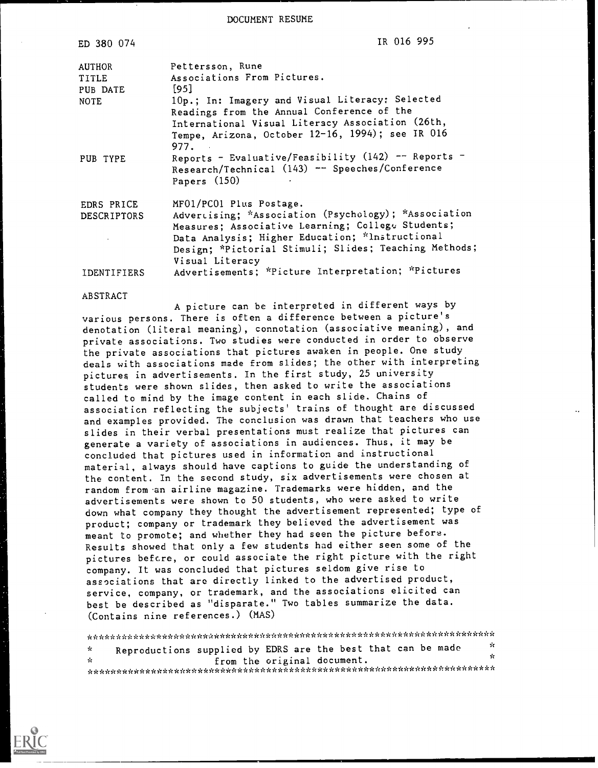DOCUMENT RESUME

| ED 380 074             | IR 016 995                                                               |
|------------------------|--------------------------------------------------------------------------|
| <b>AUTHOR</b><br>TITLE | Pettersson, Rune<br>Associations From Pictures.                          |
| PUB DATE               | [95]                                                                     |
| <b>NOTE</b>            | 10p.; In: Imagery and Visual Literacy: Selected                          |
|                        | Readings from the Annual Conference of the                               |
|                        | International Visual Literacy Association (26th,                         |
|                        | Tempe, Arizona, October 12-16, 1994); see IR 016<br>977.                 |
| PUB TYPE               | Reports - Evaluative/Feasibility (142) -- Reports -                      |
|                        | Research/Technical (143) -- Speeches/Conference<br>Papers (150)          |
| EDRS PRICE             | MF01/PC01 Plus Postage.                                                  |
| <b>DESCRIPTORS</b>     | Advertising; *Association (Psychology); *Association                     |
|                        | Measures; Associative Learning; College Students;                        |
|                        | Data Analysis; Higher Education; *Instructional                          |
|                        | Design; *Pictorial Stimuli; Slides; Teaching Methods;<br>Visual Literacy |
| <b>IDENTIFIERS</b>     | Advertisements; *Picture Interpretation; *Pictures                       |

#### ABSTRACT

A picture can be interpreted in different ways by various persons. There is often a difference between a picture's denotation (literal meaning), connotation (associative meaning), and private associations. Two studies were conducted in order to observe the private associations that pictures awaken in people. One study deals with associations made from slides; the other with interpreting pictures in advertisements. In the first study, 25 university students were shown slides, then asked to write the associations called to mind by the image content in each slide. Chains of association reflecting the subjects' trains of thought are discussed and examples provided. The conclusion was drawn that teachers who use slides in their verbal presentations must realize that pictures can generate a variety of associations in audiences. Thus, it may be concluded that pictures used in information and instructional material, always should have captions to guide the understanding of the content. In the second study, six advertisements were chosen at random from an airline magazine. Trademarks were hidden, and the advertisements were shown to 50 students, who were asked to write down what company they thought the advertisement represented; type of product; company or trademark they believed the advertisement was meant to promote; and whether they had seen the picture before. Results showed that only a few students had either seen some of the pictures before, or could associate the right picture with the right company. It was concluded that pictures seldom give rise to associations that are directly linked to the advertised product, service, company, or trademark, and the associations elicited can best be described as "disparate." Two tables summarize the data. (Contains nine references.) (MAS)

\*\*\*\*\*\*\*\*\*\*\*\*\*\*\*\*\*\*\*\*\*\*\*\*\*\*\*\*\*\*\*\*\*\*\*\*\*\*\*\*\*\*\*\*\*\*\*\*\*\*\*\*\*\*\*\*\*\*\*\*\*\*\*\*\*\*\*\*\*\*\* Reproductions supplied by EDRS are the best that can be made  $\mathbf{r}$ from the original document.  $\mathbf{r}$ \*\*\*\*\*\*\*\*\*\*\*\*\*\*\*\*\*\*\*\*\*\*\*\*\*\*\*\*\*\*\*\*\*\*\*\*\*\*\*\*\*\*\*\*\*\*\*\*\*\*\*\*\*\*\*\*\*\*\*\*\*\*\*\*\*\*\*\*\*\*\*

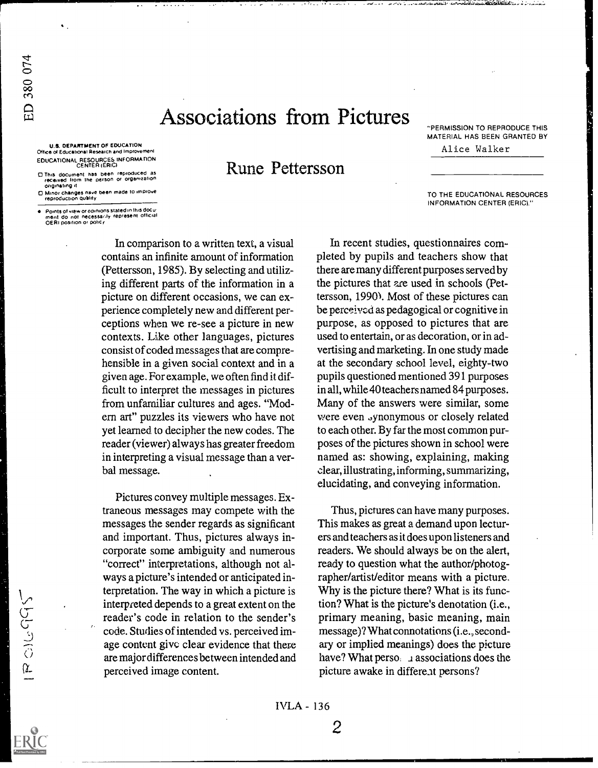# Associations from. Pictures

U.S. DEPARTMENT OF EDUCATION Office of Educations! Research and Improvement EDUCATIONAL RESOURCES INFORMATION CENTER (ERIC)

ED 380 074

 $1800095$ 

O This document has been reprOduced as recerved from the person or organization

originating it<br>D Minor changes nave been made to improve<br>reproduction quality

Points of view or opinions stated in this docu-<br>ment :do: not: necessailly: represent: official<br>QERI position or policy

In comparison to a written text, a visual contains an infinite amount of information (Pettersson, 1985). By selecting and utilizing different parts of the information in a picture on different occasions, we can experience completely new and different perceptions when we re-see a picture in new contexts. Like other languages, pictures consist of coded messages that are comprehensible in a given social context and in a given age. For example, we often find it difficult to interpret the messages in pictures from unfamiliar cultures and ages. "Modem art" puzzles its viewers who have not yet learned to decipher the new codes. The reader (viewer) always has greater freedom in interpreting a visual message than a verbal message.

Pictures convey multiple messages. Extraneous messages may compete with the messages the sender regards as significant and important. Thus, pictures always incorporate some ambiguity and numerous "correct" interpretations, although not always a picture's intended or anticipated interpretation. The way in which a picture is interpreted depends to a great extent on the reader's code in relation to the sender's code. Studies of intended vs. perceived image content give clear evidence that there are major differences between intended and perceived image content.

Rune Pettersson

"PERMISSION TO REPRODUCE THIS MATERIAL HAS BEEN GRANTED BY Alice Walker

TO THE EDUCATIONAL RESOURCES INFORMATION CENTER (ERIC)."

In recent studies, questionnaires completed by pupils and teachers show that there are many different purposes served by the pictures that are used in schools (Pettersson, 1990). Most of these pictures can be perceived as pedagogical or cognitive in purpose, as opposed to pictures that are used to entertain, or as decoration, or in advertising and marketing. In one study made at the secondary school level, eighty-two pupils questioned mentioned 391 purposes in all, while 40 teachers named 84 purposes. Many of the answers were similar, some were even synonymous or closely related to each other. By far the most common purposes of the pictures shown in school were named as: showing, explaining, making clear, illustrating, informing, summarizing, elucidating, and conveying information.

Thus, pictures can have many purposes. This makes as great a demand upon lecturers and teachers as it does upon listeners and readers. We should always be on the alert, ready to question what the author/photographer/artist/editor means with a picture, Why is the picture there? What is its function? What is the picture's denotation (i.e., primary meaning, basic meaning, main message)? What connotations (i.e., secondary or implied meanings) does the picture have? What perso. 1 associations does the picture awake in different persons?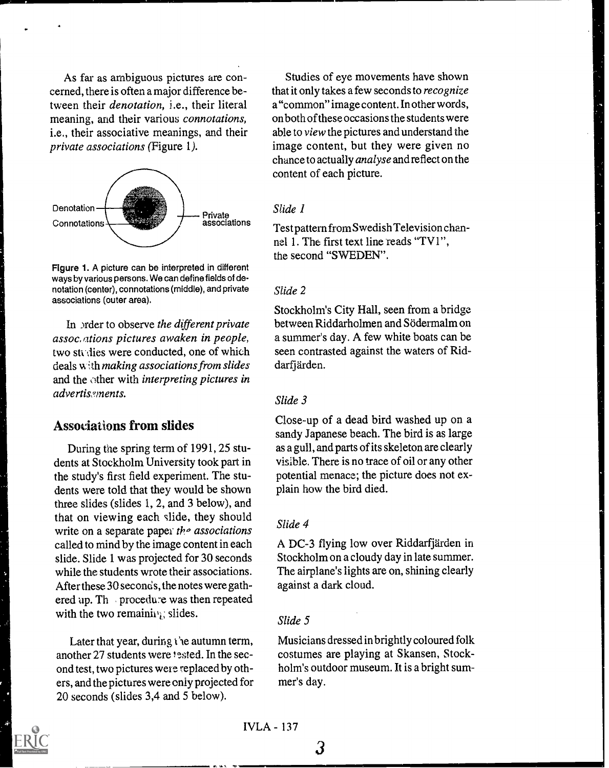As far as ambiguous pictures are concerned, there is often a major difference between their denotation, i.e., their literal meaning, and their various connotations, i.e., their associative meanings, and their private associations (Figure 1).



Figure 1. A picture can be interpreted in different ways by various persons. We can define fields of denotation (center), connotations (middle), and private associations (outer area).

In order to observe the different private assoc. ations pictures awaken in people, two studies were conducted, one of which deals with making associations from slides and the other with interpreting pictures in advertissments.

# Associations from slides

During the spring term of 1991, 25 students at Stockholm University took part in the study's first field experiment. The students were told that they would be shown three slides (slides 1, 2, and 3 below), and that on viewing each slide, they should write on a separate paper the associations called to mind by the image content in each slide. Slide 1 was projected for 30 seconds while the students wrote their associations. After these 30 seconds, the notes were gathered up. Th procedure was then repeated with the two remaining; slides.

Later that year, during the autumn term, another 27 students were tested. In the second test, two pictures were replaced by others, and the pictures were only projected for 20 seconds (slides 3,4 and 5 below).

Studies of eye movements have shown that it only takes a few seconds to recognize a "common" image content. In other words, on both of these occasions the students were able to view the pictures and understand the image content, but they were given no chance to actually analyse and reflect on the content of each picture.

#### Slide 1

Test pattern from Swedish Television channel 1. The first text line reads "TV1", the second "SWEDEN".

#### Slide 2

Stockholm's City Hall, seen from a bridge between Riddarholmen and Sodermalm on a summer's day. A few white boats can be seen contrasted against the waters of Riddarfjärden.

#### Slide 3

Close-up of a dead bird washed up on a sandy Japanese beach. The bird is as large as a gull, and parts of its skeleton are clearly visible. There is no trace of oil or any other potential menace; the picture does not explain how the bird died.

#### Slide 4

A DC-3 flying low over Riddarfjarden in Stockholm on a cloudy day in late summer. The airplane's lights are on, shining clearly against a dark cloud.

#### Slide 5

Musicians dressed in brightly coloured folk costumes are playing at Skansen, Stockholm's outdoor museum. It is a bright summer's day.



3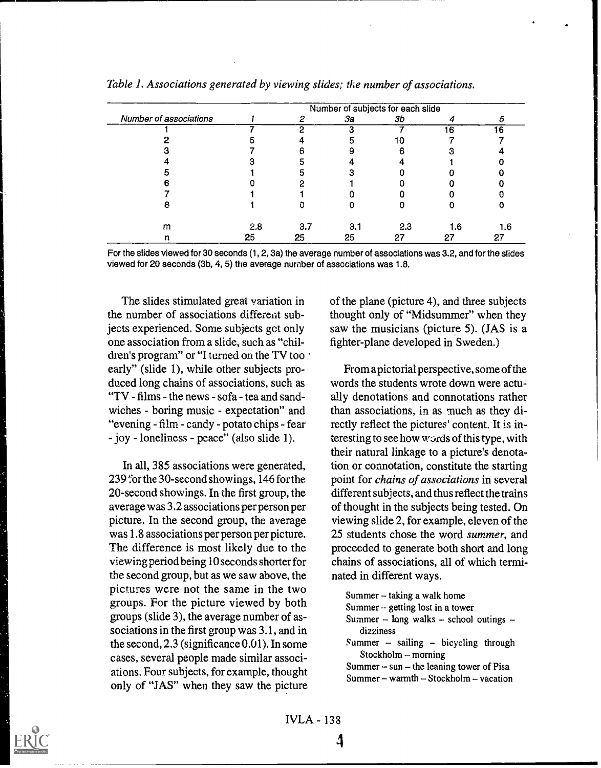|                        | Number of subjects for each slide |      |     |     |     |     |  |
|------------------------|-----------------------------------|------|-----|-----|-----|-----|--|
| Number of associations |                                   | - 73 | За  | Зb  |     |     |  |
|                        |                                   | ↷    | З   |     | 16  | 16  |  |
|                        |                                   |      |     |     |     |     |  |
|                        |                                   |      |     |     |     |     |  |
|                        |                                   |      |     |     |     |     |  |
|                        |                                   |      |     |     |     |     |  |
|                        |                                   |      |     |     |     |     |  |
|                        |                                   |      |     |     |     |     |  |
|                        |                                   |      |     |     |     |     |  |
| m                      | 2.8                               | 3.7  | 3.1 | 2.3 | 1.6 | 1.6 |  |
| n                      | 25                                | 25   | 25  |     | 27  | 27  |  |

Table I. Associations generated by viewing slides; the number of associations.

For the slides viewed for 30 seconds (1, 2, 3a) the average number of associations was 3.2, and for the slides viewed for 20 seconds (3b, 4, 5) the average number of associations was 1.8.

The slides stimulated great variation in the number of associations differeat subjects experienced. Some subjects get only one association from a slide, such as "children's program" or "I turned on the TV too early" (slide 1), while other subjects produced long chains of associations, such as "TV - films - the news - sofa - tea and sandwiches - boring music - expectation" and "evening - film - candy - potato chips - fear - joy - loneliness - peace" (also slide 1).

In all, 385 associations were generated, 239 for the 30-second showings, 146 for the 20-second showings. In the first group, the average was 3.2 associations per person per picture. In the second group, the average was 1.8 associations per person per picture. The difference is most likely due to the viewing period being 10 seconds shorter for the second group, but as we saw above, the pictures were not the same in the two groups. For the picture viewed by both groups (slide 3), the average number of associations in the first group was 3.1, and in the second, 2.3 (significance 0.01). In some cases, several people made similar associations. Four subjects, for example, thought only of "JAS" when they saw the picture of the plane (picture 4), and three subjects thought only of "Midsummer" when they saw the musicians (picture 5). (JAS is a fighter-plane developed in Sweden.)

From a pictorial perspective, some of the words the students wrote down were actually denotations and connotations rather than associations, in as much as they directly reflect the pictures' content. It is interesting to see how words of this type, with their natural linkage to a picture's denotation or connotation, constitute the starting point for chains of associations in several different subjects, and thus reflect the trains of thought in the subjects being tested. On viewing slide 2, for example, eleven of the 25 students chose the word summer, and proceeded to generate both short and long chains of associations, all of which terminated in different ways.

Summer  $-$  taking a walk home Summer -- getting lost in a tower

- Summer  $-$  long walks  $-$  school outings  $$ dizziness
- $S$ ummer sailing bicycling through $Stockholm - morning$

Summer  $\sim$  sun – the leaning tower of Pisa Summer - warmth - Stockholm - vacation



IVLA - 138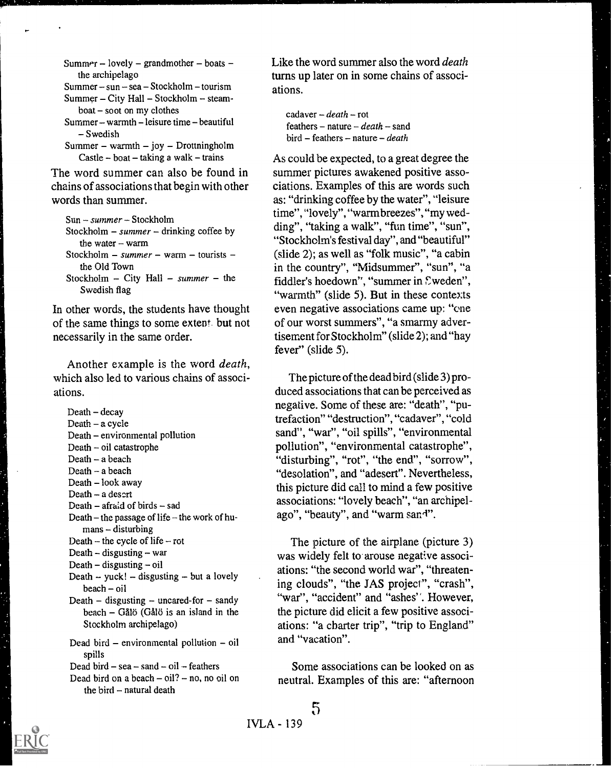Summer - lovely - grandmother - boats the archipelago

Summer  $-$  sun  $-$  sea  $-$  Stockholm  $-$  tourism Summer - City Hall - Stockholm - steam $boat - soot on mv clothes$ 

 $Summer - warmth - leisure time - beautiful$ Swedish

Summer - warmth - joy - Drottningholm Castle  $-$  boat  $-$  taking a walk  $-$  trains

The word summer can also be found in chains of associations that begin with other words than summer.

```
Sun -- summer -- Stockholm
Stockholm - summer - drinking coffee by
   the water - warm
Stockholm - summer - warm - tourists -
   the Old Town
Stockholm - City Hall - summer - the
   Swedish flag
```
In other words, the students have thought of the same things to some extent. but not necessarily in the same order.

Another example is the word death, which also led to various chains of associations.

 $Death - decay$ Death - a cycle Death - environmental pollution  $Death - oil catastrophe$ Death - a beach Death - a beach Death - look away Death -- a desert Death  $-$  afraid of birds  $-$  sad Death – the passage of life – the work of hu $mans - disturbing$ Death  $-$  the cycle of life  $-$  rot Death  $-$  disgusting  $-$  war Death  $-$  disgusting  $-$  oil Death -- yuck!  $-$  disgusting  $-$  but a lovely  $beach - oil$ Death  $-$  disgusting  $-$  uncared-for  $-$  sandy  $beach - Gálö (Gålö is an island in the)$ Stockholm archipelago) Dead bird  $-$  environmental pollution  $-$  oil spills Dead bird  $-$  sea  $-$  sand  $-$  oil  $-$  feathers

Dead bird on a beach  $-$  oil?  $-$  no, no oil on the bird  $-$  natural death

Like the word summer also the word *death* turns up later on in some chains of associations.

cadaver  $-death$ -rot feathers - nature  $-\text{death}$  - sand  $bird - features - nature - death$ 

As could be expected, to a great degree the summer pictures awakened positive associations. Examples of this are words such as: "drinking coffee by the water", "leisure time", "lovely", "warmbreezes","my wedding", "taking a walk", "fun time", "sun", "Stockholm's festival day", and "beautiful" (slide 2); as well as "folk music", "a cabin in the country", "Midsummer", "sun", "a fiddler's hoedown", "summer in Sweden", "warmth" (slide 5). But in these contexts even negative associations came up: "one of our worst summers", "a smarmy advertisement for Stockholm" (slide 2); and "hay fever" (slide 5).

The picture of the dead bird (slide 3) produced associations that can be perceived as negative. Some of these are: "death", "putrefaction" "destruction", "cadaver", "cold sand", "war", "oil spills", "environmental pollution", "environmental catastrophe", "disturbing", "rot", "the end", "sorrow", "desolation", and "adesert". Nevertheless, this picture did call to mind a few positive associations: "lovely beach", "an archipelago", "beauty", and "warm sand".

The picture of the airplane (picture 3) was widely felt to arouse negative associations: "the second world war", "threatening clouds", "the JAS project", "crash", "war", "accident" and "ashes''. However, the picture did elicit a few positive associations: "a charter trip", "trip to England" and "vacation".

Some associations can be looked on as neutral. Examples of this are: "afternoon

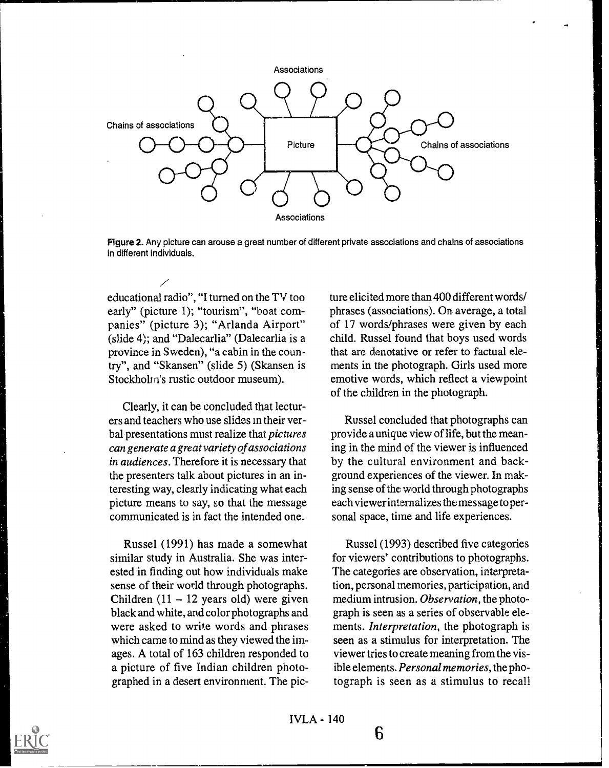

Figure 2. Any picture can arouse a great number of different private associations and chains of associations in different individuals.

educational radio", "I turned on the TV too early" (picture 1); "tourism", "boat companies" (picture 3); "Arlanda Airport" (slide 4); and "Dalecarlia" (Dalecarlia is a province in Sweden), "a cabin in the country", and "Skansen" (slide 5) (Skansen is Stockholm's rustic outdoor museum).

Clearly, it can be concluded that lecturers and teachers who use slides in their verbal presentations must realize that pictures can generate a great variety of associations in audiences. Therefore it is necessary that the presenters talk about pictures in an interesting way, clearly indicating what each picture means to say, so that the message communicated is in fact the intended one.

Russel (1991) has made a somewhat similar study in Australia. She was interested in finding out how individuals make sense of their world through photographs. Children  $(11 - 12$  years old) were given black and white, and color photographs and were asked to write words and phrases which came to mind as they viewed the images. A total of 163 children responded to a picture of five Indian children photographed in a desert environment. The picture elicited more than 400 different words/ phrases (associations). On average, a total of 17 words/phrases were given by each child. Russel found that boys used words that are denotative or refer to factual elements in the photograph. Girls used more emotive words, which reflect a viewpoint of the children in the photograph.

Russel concluded that photographs can provide a unique view of life, but the meaning in the mind of the viewer is influenced by the cultural environment and background experiences of the viewer. In making sense of the world through photographs each viewer internalizes the message to personal space, time and life experiences.

Russel (1993) described five categories for viewers' contributions to photographs. The categories are observation, interpretation, personal memories, participation, and medium intrusion. Observation, the photograph is seen as a series of observable elements. Interpretation, the photograph is seen as a stimulus for interpretation. The viewer tries to create meaning from the visible elements. Personal memories, the photograph is seen as a stimulus to recall

6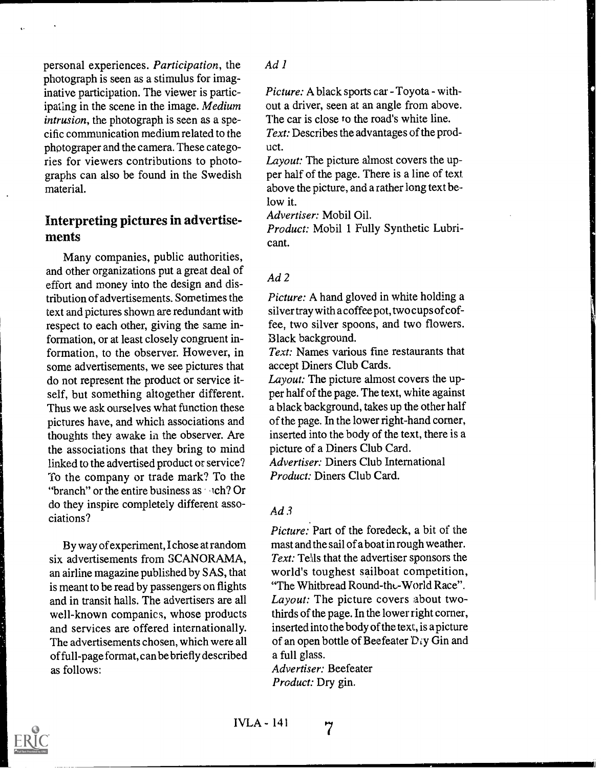personal experiences. Participation, the photograph is seen as a stimulus for imaginative participation. The viewer is participating in the scene in the image. Medium intrusion, the photograph is seen as a specific communication medium related to the photograper and the camera. These categories for viewers contributions to photographs can also be found in the Swedish material.

# Interpreting pictures in advertisements

Many companies, public authorities, and other organizations put a great deal of effort and money into the design and distribution of advertisements. Sometimes the text and pictures shown are redundant with respect to each other, giving the same information, or at least closely congruent information, to the observer. However, in some advertisements, we see pictures that do not represent the product or service itself, but something altogether different. Thus we ask ourselves what function these pictures have, and which associations and thoughts they awake in the observer. Are the associations that they bring to mind linked to the advertised product or service? To the company or trade mark? To the "branch" or the entire business as  $\sim$  ch? Or do they inspire completely different associations?

By way of experiment, I chose at random six advertisements from SCANORAMA, an airline magazine published by SAS, that is meant to be read by passengers on flights and in transit halls. The advertisers are all well-known companies, whose products and services are offered internationally. The advertisements chosen, which were all of full-page format, can be briefly described as follows:

#### Ad 1

Picture: A black sports car - Toyota - without a driver, seen at an angle from above. The car is close to the road's white line.

Text: Describes the advantages of the product.

Layout: The picture almost covers the upper half of the page. There is a line of text. above the picture, and a rather long text be low it.

Advertiser: Mobil Oil.

Product: Mobil 1 Fully Synthetic Lubricant.

#### Ad 2

Picture: A hand gloved in white holding a silver tray with a coffee pot, two cups of coffee, two silver spoons, and two flowers. Black background.

Text: Names various fine restaurants that accept Diners Club Cards.

Layout: The picture almost covers the upper half of the page. The text, white against a black background, takes up the other half of the page. In the lower right-hand corner, inserted into the body of the text, there is a picture of a Diners Club Card. Advertiser: Diners Club International Product: Diners Club Card.

#### $Ad3$

Picture: Part of the foredeck, a bit of the mast and the sail of a boat in rough weather. Text: Tells that the advertiser sponsors the world's toughest sailboat competition, "The Whitbread Round-the-World Race". Layout: The picture covers about twothirds of the page. In the lower right corner, inserted into the body of the text, is a picture of an open bottle of Beefeater  $\mathcal{D}_{i}$ y Gin and a full glass.

Advertiser: Beefeater Product: Dry gin.

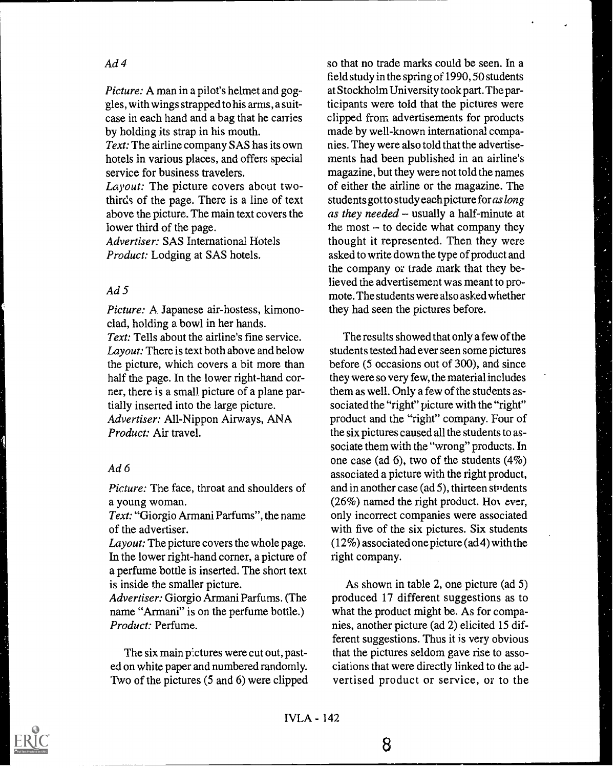# Ad 4

Picture: A man in a pilot's helmet and goggles, with wings strapped to his arms, a suitcase in each hand and a bag that he carries by holding its strap in his mouth.

Text: The airline company SAS has its own hotels in various places, and offers special service for business travelers.

Layout: The picture covers about twothirds of the page. There is a line of text above the picture. The main text covers the lower third of the page.

Advertiser: SAS International Hotels Product: Lodging at SAS hotels.

#### $Ad5$

Picture: A Japanese air-hostess, kimonoclad, holding a bowl in her hands. Text: Tells about the airline's fine service. Layout: There is text both above and below the picture, which covers a bit more than half the page. In the lower right-hand corner, there is a small picture of a plane partially inserted into the large picture. Advertiser: All-Nippon Airways, ANA Product: Air travel.

#### Ad 6

Picture: The face, throat and shoulders of a young woman.

Text: "Giorgio Armani Parfums", the name of the advertiser.

Layout: The picture covers the whole page. In the lower right-hand corner, a picture of a perfume bottle is inserted. The short text is inside the smaller picture.

Advertiser: Giorgio Armani Parfums. (The name "Armani" is on the perfume bottle.) Product: Perfume.

The six main pictures were cut out, pasted on white paper and numbered randomly. Two of the pictures (5 and 6) were clipped so that no trade marks could be seen. In a field study in the spring of 1990, 50 students at Stockholm University took part. The participants were told that the pictures were clipped from advertisements for products made by well-known international companies. They were also told that the advertisements had been published in an airline's magazine, but they were not told the names of either the airline or the magazine. The students got to study each picture for as long as they needed  $-$  usually a half-minute at the most  $-$  to decide what company they thought it represented. Then they were asked to write down the type of product and the company or trade mark that they believed the advertisement was meant to promote. The students were also asked whether they had seen the pictures before.

The results showed that only a few of the students tested had ever seen some pictures before (5 occasions out of 300), and since they were so very few, the material includes them as well. Only a few of the students associated the "right" picture with the "right" product and the "right" company. Four of the six pictures caused all the students to associate them with the "wrong" products. In one case (ad 6), two of the students (4%) associated a picture with the right product, and in another case (ad 5), thirteen students  $(26%)$  named the right product. However, only incorrect companies were associated with five of the six pictures. Six students (12%) associated one picture (ad 4) with the right company.

As shown in table 2, one picture (ad 5) produced 17 different suggestions as to what the product might be. As for companies, another picture (ad 2) elicited 15 different suggestions. Thus it is very obvious that the pictures seldom gave rise to associations that were directly linked to the advertised product or service, or to the

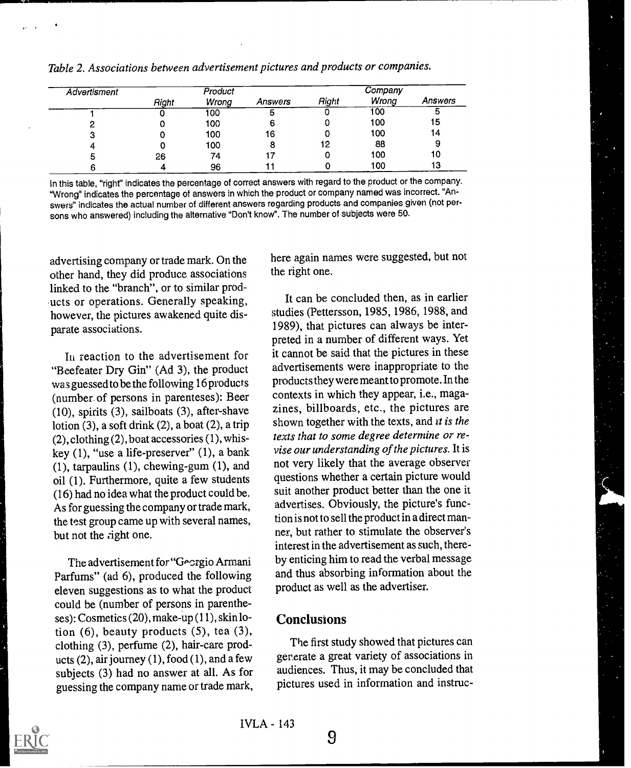| Advertisment |       | Product |         |       | Company |         |
|--------------|-------|---------|---------|-------|---------|---------|
|              | Right | Wrong   | Answers | Right | Wrong   | Answers |
|              |       | 100     | Ð       | O     | 100     | э       |
| -            | 0     | 100     |         |       | 100     | 15      |
|              |       | 100     | 16      |       | 100     | 14      |
|              |       | 100     |         | 12    | 88      |         |
|              | 26    | 74      |         |       | 100     | 10      |
|              |       | 96      |         |       | 100     | 13      |

Table 2. Associations between advertisement pictures and products or companies.

In this table, "right" indicates the percentage of correct answers with regard to the product or the company. "Wrong" indicates the percentage of answers in which the product or company named was incorrect. "Answers" indicates the actual number of different answers regarding products and companies given (not persons who answered) including the alternative "Don't know". The number of subjects were 50.

advertising company or trade mark. On the other hand, they did produce associations linked to the "branch", or to similar products or operations. Generally speaking, however, the pictures awakened quite disparate associations.

In reaction to the advertisement for "Beefeater Dry Gin" (Ad 3), the product was guessed to be the following 16 products (number of persons in parenteses): Beer (10), spirits (3), sailboats (3), after-shave lotion  $(3)$ , a soft drink  $(2)$ , a boat  $(2)$ , a trip (2), clothing (2), boat accessories (1), whiskey (1), "use a life-preserver" (1), a bank (1), tarpaulins (1), chewing-gum (1), and oil (1). Furthermore, quite a few students (16) had no idea what the product could be. As for guessing the company or trade mark, the test group came up with several names, but not the right one.

The advertisement for "Georgio Armani Parfums" (ad 6), produced the following eleven suggestions as to what the product could be (number of persons in parentheses): Cosmetics (20), make-up (11), skin lotion (6), beauty products  $(5)$ , tea (3), clothing (3), perfume (2), hair-care products  $(2)$ , air journey  $(1)$ , food  $(1)$ , and a few subjects (3) had no answer at all. As for guessing the company name or trade mark, here again names were suggested, but not the right one.

It can be concluded then, as in earlier studies (Pettersson, 1985, 1986, 1988, and 1989), that pictures can always be interpreted in a number of different ways. Yet it cannot be said that the pictures in these advertisements were inappropriate to the products they were meant to promote. In the contexts in which they appear, i.e., magazines, billboards, etc., the pictures are shown together with the texts, and it is the texts that to some degree determine or revise our understanding of the pictures. It is not very likely that the average observer questions whether a certain picture would suit another product better than the one it advertises. Obviously, the picture's function is not to sell the product in a direct manner, but rather to stimulate the observer's interest in the advertisement as such, thereby enticing him to read the verbal message and thus absorbing information about the product as well as the advertiser.

### **Conclusions**

The first study showed that pictures can generate a great variety of associations in audiences. Thus, it may be concluded that pictures used in information and instruc-